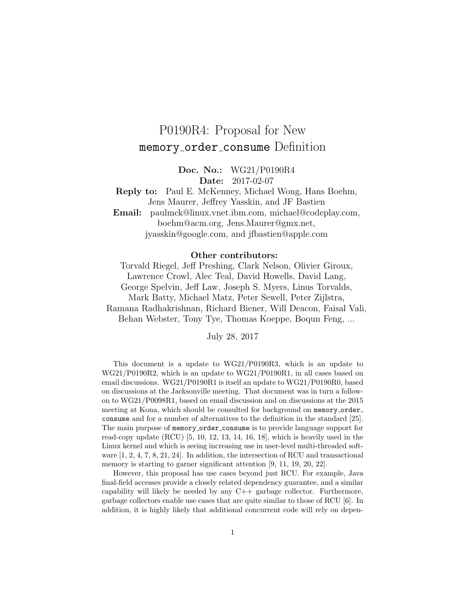# P0190R4: Proposal for New memory order consume Definition

Doc. No.: WG21/P0190R4 Date: 2017-02-07

Reply to: Paul E. McKenney, Michael Wong, Hans Boehm, Jens Maurer, Jeffrey Yasskin, and JF Bastien

Email: paulmck@linux.vnet.ibm.com, michael@codeplay.com, boehm@acm.org, Jens.Maurer@gmx.net, jyasskin@google.com, and jfbastien@apple.com

#### Other contributors:

Torvald Riegel, Jeff Preshing, Clark Nelson, Olivier Giroux, Lawrence Crowl, Alec Teal, David Howells, David Lang, George Spelvin, Jeff Law, Joseph S. Myers, Linus Torvalds, Mark Batty, Michael Matz, Peter Sewell, Peter Zijlstra, Ramana Radhakrishnan, Richard Biener, Will Deacon, Faisal Vali, Behan Webster, Tony Tye, Thomas Koeppe, Boqun Feng, ...

July 28, 2017

This document is a update to WG21/P0190R3, which is an update to WG21/P0190R2, which is an update to WG21/P0190R1, in all cases based on email discussions. WG21/P0190R1 is itself an update to WG21/P0190R0, based on discussions at the Jacksonville meeting. That document was in turn a followon to WG21/P0098R1, based on email discussion and on discussions at the 2015 meeting at Kona, which should be consulted for background on memory\_order\_ consume and for a number of alternatives to the definition in the standard [\[25\]](#page-31-0). The main purpose of memory order consume is to provide language support for read-copy update  $(RCU)$  [\[5,](#page-29-0) [10,](#page-30-0) [12,](#page-30-1) [13,](#page-30-2) [14,](#page-30-3) [16,](#page-30-4) [18\]](#page-30-5), which is heavily used in the Linux kernel and which is seeing increasing use in user-level multi-threaded software [\[1,](#page-29-1) [2,](#page-29-2) [4,](#page-29-3) [7,](#page-29-4) [8,](#page-29-5) [21,](#page-30-6) [24\]](#page-31-1). In addition, the intersection of RCU and transactional memory is starting to garner significant attention [\[9,](#page-29-6) [11,](#page-30-7) [19,](#page-30-8) [20,](#page-30-9) [22\]](#page-30-10).

However, this proposal has use cases beyond just RCU. For example, Java final-field accesses provide a closely related dependency guarantee, and a similar capability will likely be needed by any  $C++$  garbage collector. Furthermore, garbage collectors enable use cases that are quite similar to those of RCU [\[6\]](#page-29-7). In addition, it is highly likely that additional concurrent code will rely on depen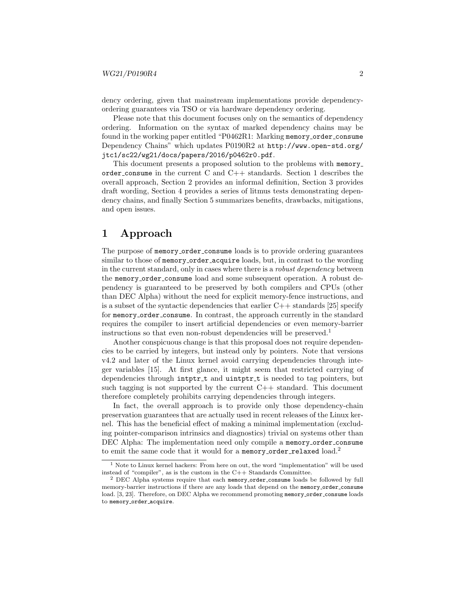dency ordering, given that mainstream implementations provide dependencyordering guarantees via TSO or via hardware dependency ordering.

Please note that this document focuses only on the semantics of dependency ordering. Information on the syntax of marked dependency chains may be found in the working paper entitled "P0462R1: Marking memory order consume Dependency Chains" which updates P0190R2 at [http://www.open-std.org/](http://www.open-std.org/jtc1/sc22/wg21/docs/papers/2016/p0462r0.pdf) [jtc1/sc22/wg21/docs/papers/2016/p0462r0.pdf](http://www.open-std.org/jtc1/sc22/wg21/docs/papers/2016/p0462r0.pdf).

This document presents a proposed solution to the problems with memory order consume in the current C and  $C++$  standards. Section [1](#page-1-0) describes the overall approach, Section [2](#page-2-0) provides an informal definition, Section [3](#page-11-0) provides draft wording, Section [4](#page-15-0) provides a series of litmus tests demonstrating dependency chains, and finally Section [5](#page-27-0) summarizes benefits, drawbacks, mitigations, and open issues.

## <span id="page-1-0"></span>1 Approach

The purpose of memory\_order\_consume loads is to provide ordering guarantees similar to those of memory\_order\_acquire loads, but, in contrast to the wording in the current standard, only in cases where there is a robust dependency between the memory order consume load and some subsequent operation. A robust dependency is guaranteed to be preserved by both compilers and CPUs (other than DEC Alpha) without the need for explicit memory-fence instructions, and is a subset of the syntactic dependencies that earlier  $C++$  standards [\[25\]](#page-31-0) specify for memory order consume. In contrast, the approach currently in the standard requires the compiler to insert artificial dependencies or even memory-barrier instructions so that even non-robust dependencies will be preserved.<sup>[1](#page-1-1)</sup>

Another conspicuous change is that this proposal does not require dependencies to be carried by integers, but instead only by pointers. Note that versions v4.2 and later of the Linux kernel avoid carrying dependencies through integer variables [\[15\]](#page-30-11). At first glance, it might seem that restricted carrying of dependencies through intptr\_t and uintptr\_t is needed to tag pointers, but such tagging is not supported by the current  $C++$  standard. This document therefore completely prohibits carrying dependencies through integers.

In fact, the overall approach is to provide only those dependency-chain preservation guarantees that are actually used in recent releases of the Linux kernel. This has the beneficial effect of making a minimal implementation (excluding pointer-comparison intrinsics and diagnostics) trivial on systems other than DEC Alpha: The implementation need only compile a memory\_order\_consume to emit the same code that it would for a memory\_order\_relaxed  $load.^2$  $load.^2$ 

<span id="page-1-1"></span> $1$  Note to Linux kernel hackers: From here on out, the word "implementation" will be used instead of "compiler", as is the custom in the C++ Standards Committee.

<span id="page-1-2"></span><sup>&</sup>lt;sup>2</sup> DEC Alpha systems require that each memory order consume loads be followed by full memory-barrier instructions if there are any loads that depend on the memory order consume load. [\[3,](#page-29-8) [23\]](#page-31-2). Therefore, on DEC Alpha we recommend promoting memory\_order\_consume loads to memory\_order\_acquire.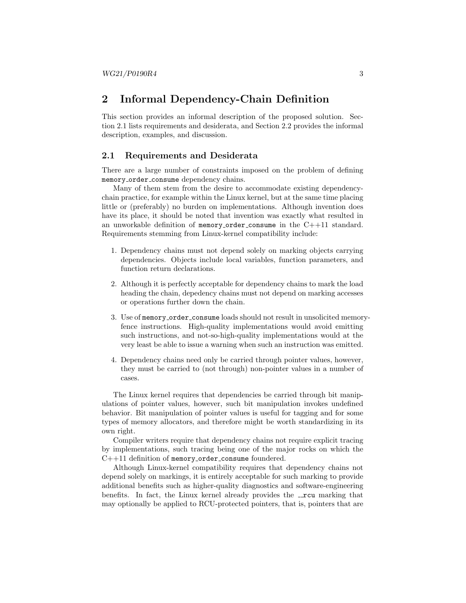### <span id="page-2-0"></span>2 Informal Dependency-Chain Definition

This section provides an informal description of the proposed solution. Section [2.1](#page-2-1) lists requirements and desiderata, and Section [2.2](#page-3-0) provides the informal description, examples, and discussion.

#### <span id="page-2-1"></span>2.1 Requirements and Desiderata

There are a large number of constraints imposed on the problem of defining memory order consume dependency chains.

Many of them stem from the desire to accommodate existing dependencychain practice, for example within the Linux kernel, but at the same time placing little or (preferably) no burden on implementations. Although invention does have its place, it should be noted that invention was exactly what resulted in an unworkable definition of memory order consume in the  $C++11$  standard. Requirements stemming from Linux-kernel compatibility include:

- 1. Dependency chains must not depend solely on marking objects carrying dependencies. Objects include local variables, function parameters, and function return declarations.
- 2. Although it is perfectly acceptable for dependency chains to mark the load heading the chain, depedency chains must not depend on marking accesses or operations further down the chain.
- 3. Use of memory order consume loads should not result in unsolicited memoryfence instructions. High-quality implementations would avoid emitting such instructions, and not-so-high-quality implementations would at the very least be able to issue a warning when such an instruction was emitted.
- 4. Dependency chains need only be carried through pointer values, however, they must be carried to (not through) non-pointer values in a number of cases.

The Linux kernel requires that dependencies be carried through bit manipulations of pointer values, however, such bit manipulation invokes undefined behavior. Bit manipulation of pointer values is useful for tagging and for some types of memory allocators, and therefore might be worth standardizing in its own right.

Compiler writers require that dependency chains not require explicit tracing by implementations, such tracing being one of the major rocks on which the C++11 definition of memory\_order\_consume foundered.

Although Linux-kernel compatibility requires that dependency chains not depend solely on markings, it is entirely acceptable for such marking to provide additional benefits such as higher-quality diagnostics and software-engineering benefits. In fact, the Linux kernel already provides the  $\lnot$  rcu marking that may optionally be applied to RCU-protected pointers, that is, pointers that are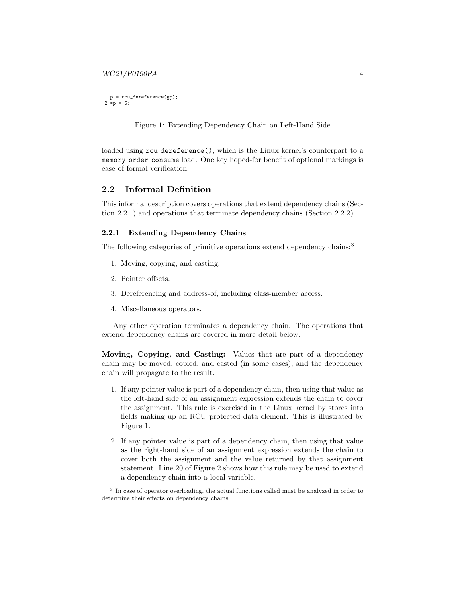<span id="page-3-3"></span>1 p = rcu\_dereference(gp); 2 \*p = 5;

Figure 1: Extending Dependency Chain on Left-Hand Side

loaded using rcu dereference(), which is the Linux kernel's counterpart to a memory order consume load. One key hoped-for benefit of optional markings is ease of formal verification.

#### <span id="page-3-0"></span>2.2 Informal Definition

This informal description covers operations that extend dependency chains (Section [2.2.1\)](#page-3-1) and operations that terminate dependency chains (Section [2.2.2\)](#page-7-0).

#### <span id="page-3-1"></span>2.2.1 Extending Dependency Chains

The following categories of primitive operations extend dependency chains:<sup>[3](#page-3-2)</sup>

- 1. Moving, copying, and casting.
- 2. Pointer offsets.
- 3. Dereferencing and address-of, including class-member access.
- 4. Miscellaneous operators.

Any other operation terminates a dependency chain. The operations that extend dependency chains are covered in more detail below.

Moving, Copying, and Casting: Values that are part of a dependency chain may be moved, copied, and casted (in some cases), and the dependency chain will propagate to the result.

- 1. If any pointer value is part of a dependency chain, then using that value as the left-hand side of an assignment expression extends the chain to cover the assignment. This rule is exercised in the Linux kernel by stores into fields making up an RCU protected data element. This is illustrated by Figure [1.](#page-3-3)
- 2. If any pointer value is part of a dependency chain, then using that value as the right-hand side of an assignment expression extends the chain to cover both the assignment and the value returned by that assignment statement. Line 20 of Figure [2](#page-5-0) shows how this rule may be used to extend a dependency chain into a local variable.

<span id="page-3-2"></span><sup>&</sup>lt;sup>3</sup> In case of operator overloading, the actual functions called must be analyzed in order to determine their effects on dependency chains.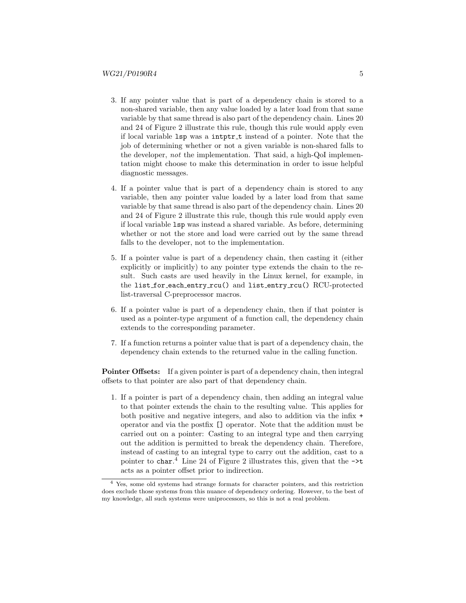- 3. If any pointer value that is part of a dependency chain is stored to a non-shared variable, then any value loaded by a later load from that same variable by that same thread is also part of the dependency chain. Lines 20 and 24 of Figure [2](#page-5-0) illustrate this rule, though this rule would apply even if local variable lsp was a intptr t instead of a pointer. Note that the job of determining whether or not a given variable is non-shared falls to the developer, not the implementation. That said, a high-QoI implementation might choose to make this determination in order to issue helpful diagnostic messages.
- 4. If a pointer value that is part of a dependency chain is stored to any variable, then any pointer value loaded by a later load from that same variable by that same thread is also part of the dependency chain. Lines 20 and 24 of Figure [2](#page-5-0) illustrate this rule, though this rule would apply even if local variable lsp was instead a shared variable. As before, determining whether or not the store and load were carried out by the same thread falls to the developer, not to the implementation.
- 5. If a pointer value is part of a dependency chain, then casting it (either explicitly or implicitly) to any pointer type extends the chain to the result. Such casts are used heavily in the Linux kernel, for example, in the list\_for\_each\_entry\_rcu() and list\_entry\_rcu() RCU-protected list-traversal C-preprocessor macros.
- 6. If a pointer value is part of a dependency chain, then if that pointer is used as a pointer-type argument of a function call, the dependency chain extends to the corresponding parameter.
- 7. If a function returns a pointer value that is part of a dependency chain, the dependency chain extends to the returned value in the calling function.

Pointer Offsets: If a given pointer is part of a dependency chain, then integral offsets to that pointer are also part of that dependency chain.

1. If a pointer is part of a dependency chain, then adding an integral value to that pointer extends the chain to the resulting value. This applies for both positive and negative integers, and also to addition via the infix + operator and via the postfix [] operator. Note that the addition must be carried out on a pointer: Casting to an integral type and then carrying out the addition is permitted to break the dependency chain. Therefore, instead of casting to an integral type to carry out the addition, cast to a pointer to char.<sup>[4](#page-4-0)</sup> Line [2](#page-5-0)4 of Figure 2 illustrates this, given that the  $\rightarrow \infty$ acts as a pointer offset prior to indirection.

<span id="page-4-0"></span><sup>4</sup> Yes, some old systems had strange formats for character pointers, and this restriction does exclude those systems from this nuance of dependency ordering. However, to the best of my knowledge, all such systems were uniprocessors, so this is not a real problem.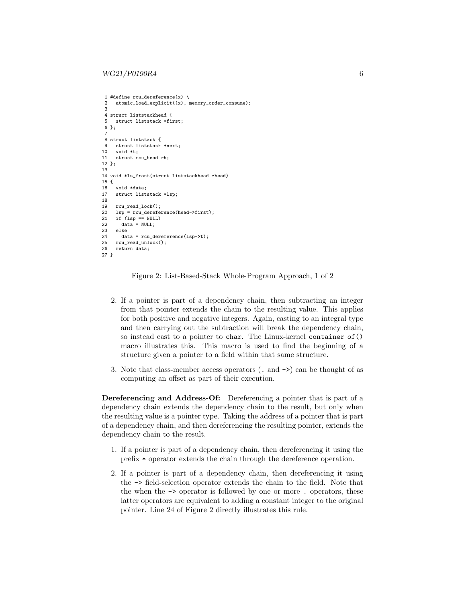```
1 #define rcu dereference(x) \setminus2 atomic_load_explicit((x), memory_order_consume);
 3
 4 struct liststackhead {<br>5 struct liststack *fi
    5 struct liststack *first;
 6 };
  7
8 struct liststack {
 9 struct liststack *next;
10 void *t;
11 struct rcu head rh;
12 };
13
14 void *ls_front(struct liststackhead *head)
15 \t{16}void *data;
17 struct liststack *lsp;
18
19 rcu_read_lock();<br>20 lsp = rcu derefe
20 lsp = rcu_dereference(head->first);<br>21 if (lsp == NULL)
21 if (\text{lsp} == \text{NULL})<br>22 data = NULL:
22 data = NULL;<br>23 else23 else
24 data = rcu_dereference(lsp->t);<br>25 rcu read unlock();
25 rcu_read_unlock();<br>26 return data;
      return data;
27 }
```
Figure 2: List-Based-Stack Whole-Program Approach, 1 of 2

- 2. If a pointer is part of a dependency chain, then subtracting an integer from that pointer extends the chain to the resulting value. This applies for both positive and negative integers. Again, casting to an integral type and then carrying out the subtraction will break the dependency chain, so instead cast to a pointer to char. The Linux-kernel container of () macro illustrates this. This macro is used to find the beginning of a structure given a pointer to a field within that same structure.
- 3. Note that class-member access operators (. and ->) can be thought of as computing an offset as part of their execution.

Dereferencing and Address-Of: Dereferencing a pointer that is part of a dependency chain extends the dependency chain to the result, but only when the resulting value is a pointer type. Taking the address of a pointer that is part of a dependency chain, and then dereferencing the resulting pointer, extends the dependency chain to the result.

- 1. If a pointer is part of a dependency chain, then dereferencing it using the prefix \* operator extends the chain through the dereference operation.
- 2. If a pointer is part of a dependency chain, then dereferencing it using the -> field-selection operator extends the chain to the field. Note that the when the -> operator is followed by one or more . operators, these latter operators are equivalent to adding a constant integer to the original pointer. Line 24 of Figure [2](#page-5-0) directly illustrates this rule.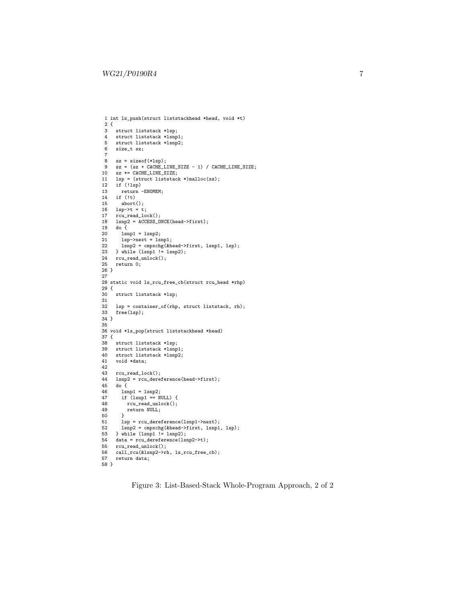```
1 int ls_push(struct liststackhead *head, void *t)
 2 {
 3 struct liststack *lsp;<br>4 struct liststack *lsnp
 4 struct liststack *lsnp1;<br>5 struct liststack *lsnp2:
 5 struct liststack *lsnp2;<br>6 size_t sz;
    size_t sz;
  7
 8 sz = sizeof(*lsp);<br>9 sz = (sz + CACHE_Lsz = (sz + CACHE_LINE_SIZE - 1) / CACHE_LINE_SIZE;10 sz *= CACHE_LINE_SIZE;<br>11 lsp = (struct liststac)
11 lsp = (struct liststack *)malloc(sz);<br>12 if (!lsp)
12 if (!lsp)<br>13 return
       return -ENOMEM;
14 if (!t)
15 abort();<br>16 1sp->=t16 lsp->t = t;
17 rcu_read_lock();
18 lsnp2 = ACCESS_ONCE(head->first);
19 do {
20 lsnp1 = lsnp2;
21 lsp->next = lsnp1;
22 lsnp2 = cmpxchg(&head->first, lsnp1, lsp);
23 } while (lsnp1 != lsnp2);
24 rcu_read_unlock();<br>25 return 0;
     return 0;
26 }
27
28 static void ls_rcu_free_cb(struct rcu_head *rhp)
29 {
30 struct liststack *lsp;
31
32 lsp = container_of(rhp, struct liststack, rh);<br>33 free(lsp):
     free(lsp);
34 }
35
36 void *ls_pop(struct liststackhead *head)
37 {
38 struct liststack *lsp;<br>39 struct liststack *lsnp
     struct liststack *lsnp1;
40 struct liststack *lsnp2;
41 void *data;
42
43 rcu\_read\_lock();<br>44 1sm2 = rcu deret44 lsnp2 = rcu_dereference(head->first);<br>45 do {
45 do \overline{\{}<br>46 lsn
46 lsnp1 = lsnp2;
47 if (lsnp1 == NULL) {
48 rcu_read_unlock();<br>49 return NULL;
49 return NULL;
50 }
51 lsp = rcu_dereference(lsnp1->next);<br>52 lsnp2 = cmpxchg(&head->first, lsnp1
       1snp2 = cmpxchg(&head->first, lsnp1, lsp);
53 } while (lsnp1 != lsnp2);<br>54 data = rcu_dereference(ls.
54 data = rcu_dereference(lsnp2->t);<br>55 rcu_read_unlock();
55 rcu_read_unlock();<br>56 call_rcu(&lsnp2->rl
     call_rcu(&lsnp2->rh, ls_rcu_free_cb);
57 return data;
58 }
```
Figure 3: List-Based-Stack Whole-Program Approach, 2 of 2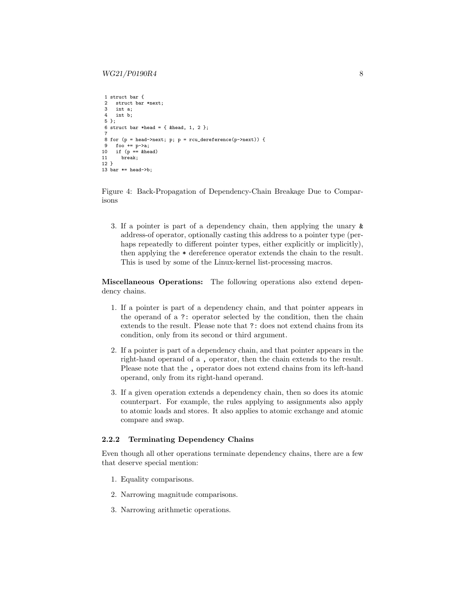```
1 struct bar {
2 struct bar *next;<br>3 int a:
    int a:
4 int b;
5 };
6 struct bar *head = { khead, 1, 2 };
 7
8 for (p = head->next; p; p = rcu_dereference(p->next)) {
9 foo += p->a;
10 if (p == \text{6}11 break;
12 }
13 bar *= head->b:
```
Figure 4: Back-Propagation of Dependency-Chain Breakage Due to Comparisons

3. If a pointer is part of a dependency chain, then applying the unary & address-of operator, optionally casting this address to a pointer type (perhaps repeatedly to different pointer types, either explicitly or implicitly), then applying the \* dereference operator extends the chain to the result. This is used by some of the Linux-kernel list-processing macros.

Miscellaneous Operations: The following operations also extend dependency chains.

- 1. If a pointer is part of a dependency chain, and that pointer appears in the operand of a ?: operator selected by the condition, then the chain extends to the result. Please note that ?: does not extend chains from its condition, only from its second or third argument.
- 2. If a pointer is part of a dependency chain, and that pointer appears in the right-hand operand of a , operator, then the chain extends to the result. Please note that the , operator does not extend chains from its left-hand operand, only from its right-hand operand.
- 3. If a given operation extends a dependency chain, then so does its atomic counterpart. For example, the rules applying to assignments also apply to atomic loads and stores. It also applies to atomic exchange and atomic compare and swap.

#### <span id="page-7-0"></span>2.2.2 Terminating Dependency Chains

Even though all other operations terminate dependency chains, there are a few that deserve special mention:

- 1. Equality comparisons.
- 2. Narrowing magnitude comparisons.
- 3. Narrowing arithmetic operations.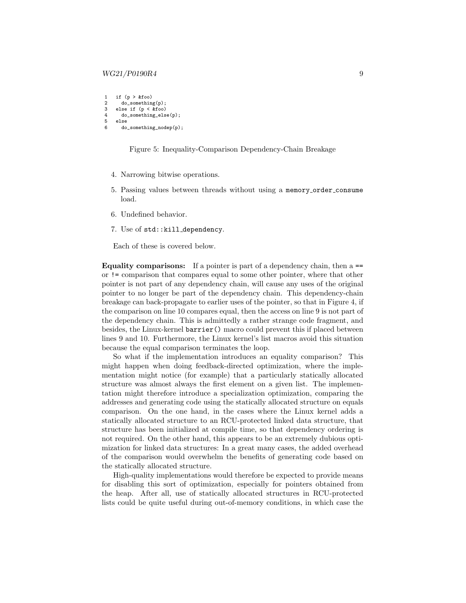#### $WG21/P0190R4$  9

```
1 if (p > kfoo)<br>2 do somethin
2 do_something(p);<br>3 else if (p < k f o o)else if (p < \epsilon)4 do_something_else(p);<br>5 else
     else
6 do_something_nodep(p);
```
Figure 5: Inequality-Comparison Dependency-Chain Breakage

- 4. Narrowing bitwise operations.
- 5. Passing values between threads without using a memory order consume load.
- 6. Undefined behavior.
- 7. Use of std::kill dependency.

Each of these is covered below.

Equality comparisons: If a pointer is part of a dependency chain, then a == or != comparison that compares equal to some other pointer, where that other pointer is not part of any dependency chain, will cause any uses of the original pointer to no longer be part of the dependency chain. This dependency-chain breakage can back-propagate to earlier uses of the pointer, so that in Figure [4,](#page-7-1) if the comparison on line 10 compares equal, then the access on line 9 is not part of the dependency chain. This is admittedly a rather strange code fragment, and besides, the Linux-kernel barrier() macro could prevent this if placed between lines 9 and 10. Furthermore, the Linux kernel's list macros avoid this situation because the equal comparison terminates the loop.

So what if the implementation introduces an equality comparison? This might happen when doing feedback-directed optimization, where the implementation might notice (for example) that a particularly statically allocated structure was almost always the first element on a given list. The implementation might therefore introduce a specialization optimization, comparing the addresses and generating code using the statically allocated structure on equals comparison. On the one hand, in the cases where the Linux kernel adds a statically allocated structure to an RCU-protected linked data structure, that structure has been initialized at compile time, so that dependency ordering is not required. On the other hand, this appears to be an extremely dubious optimization for linked data structures: In a great many cases, the added overhead of the comparison would overwhelm the benefits of generating code based on the statically allocated structure.

High-quality implementations would therefore be expected to provide means for disabling this sort of optimization, especially for pointers obtained from the heap. After all, use of statically allocated structures in RCU-protected lists could be quite useful during out-of-memory conditions, in which case the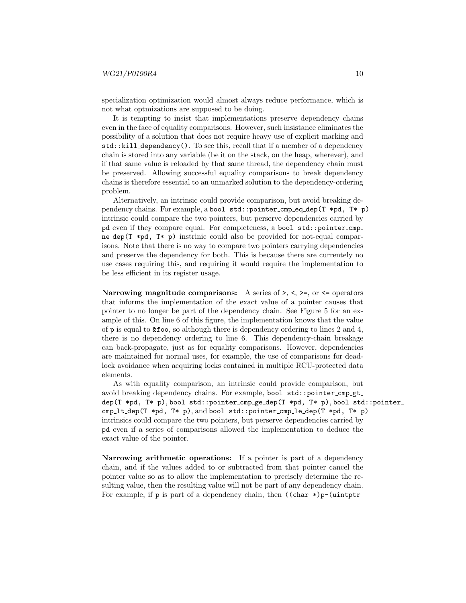specialization optimization would almost always reduce performance, which is not what optmizations are supposed to be doing.

It is tempting to insist that implementations preserve dependency chains even in the face of equality comparisons. However, such insistance eliminates the possibility of a solution that does not require heavy use of explicit marking and std::kill dependency(). To see this, recall that if a member of a dependency chain is stored into any variable (be it on the stack, on the heap, wherever), and if that same value is reloaded by that same thread, the dependency chain must be preserved. Allowing successful equality comparisons to break dependency chains is therefore essential to an unmarked solution to the dependency-ordering problem.

Alternatively, an intrinsic could provide comparison, but avoid breaking dependency chains. For example, a bool std::pointer cmp eq dep(T \*pd, T\* p) intrinsic could compare the two pointers, but perserve dependencies carried by pd even if they compare equal. For completeness, a bool std::pointer cmp ne dep(T  $*pd$ , T $*$  p) instrinic could also be provided for not-equal comparisons. Note that there is no way to compare two pointers carrying dependencies and preserve the dependency for both. This is because there are currentely no use cases requiring this, and requiring it would require the implementation to be less efficient in its register usage.

Narrowing magnitude comparisons: A series of  $\lambda$ ,  $\lambda$ ,  $\lambda$ ,  $\lambda$ ,  $\lambda$ ,  $\lambda$ ,  $\lambda$ ,  $\lambda$ ,  $\lambda$ ,  $\lambda$ ,  $\lambda$ ,  $\lambda$ ,  $\lambda$ ,  $\lambda$ ,  $\lambda$ ,  $\lambda$ ,  $\lambda$ ,  $\lambda$ ,  $\lambda$ ,  $\lambda$ ,  $\lambda$ ,  $\lambda$ ,  $\lambda$ ,  $\lambda$ ,  $\lambda$ ,  $\lambda$ ,  $\lambda$ ,  $\lambda$ ,  $\lambda$ ,  $\$ that informs the implementation of the exact value of a pointer causes that pointer to no longer be part of the dependency chain. See Figure [5](#page-8-0) for an example of this. On line 6 of this figure, the implementation knows that the value of p is equal to  $\&$  foo, so although there is dependency ordering to lines 2 and 4, there is no dependency ordering to line 6. This dependency-chain breakage can back-propagate, just as for equality comparisons. However, dependencies are maintained for normal uses, for example, the use of comparisons for deadlock avoidance when acquiring locks contained in multiple RCU-protected data elements.

As with equality comparison, an intrinsic could provide comparison, but avoid breaking dependency chains. For example, bool std::pointer\_cmp\_gt\_ dep(T \*pd, T\* p), bool std::pointer cmp ge dep(T \*pd, T\* p), bool std::pointer cmp lt dep(T \*pd, T\* p), and bool std::pointer cmp le dep(T \*pd, T\* p) intrinsics could compare the two pointers, but perserve dependencies carried by pd even if a series of comparisons allowed the implementation to deduce the exact value of the pointer.

Narrowing arithmetic operations: If a pointer is part of a dependency chain, and if the values added to or subtracted from that pointer cancel the pointer value so as to allow the implementation to precisely determine the resulting value, then the resulting value will not be part of any dependency chain. For example, if  $p$  is part of a dependency chain, then  $((char * )p-(uintptr)$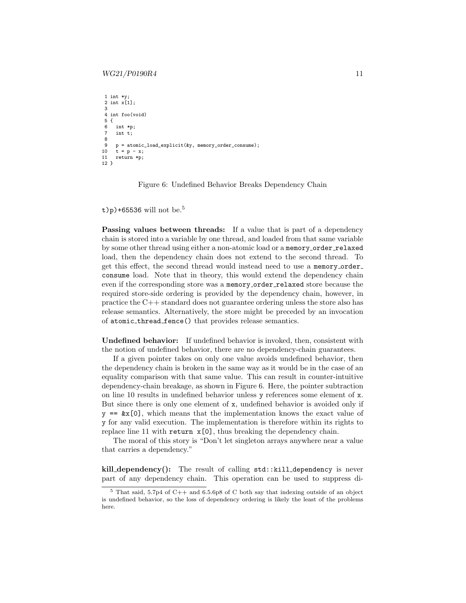#### $WG21/P0190R4$  11

```
1 int *y;
2 int x[1];
3
 4 int foo(void)
5 {
6 int *p;<br>7 int t:
     int t:
8
     9 p = atomic_load_explicit(&y, memory_order_consume);
10 t = p - x;<br>11 return *p:
    return *p;
12 }
```
Figure 6: Undefined Behavior Breaks Dependency Chain

t)p)+6[5](#page-10-0)536 will not be.<sup>5</sup>

Passing values between threads: If a value that is part of a dependency chain is stored into a variable by one thread, and loaded from that same variable by some other thread using either a non-atomic load or a memory\_order\_relaxed load, then the dependency chain does not extend to the second thread. To get this effect, the second thread would instead need to use a memory order consume load. Note that in theory, this would extend the dependency chain even if the corresponding store was a memory\_order\_relaxed store because the required store-side ordering is provided by the dependency chain, however, in practice the C++ standard does not guarantee ordering unless the store also has release semantics. Alternatively, the store might be preceded by an invocation of atomic thread fence() that provides release semantics.

Undefined behavior: If undefined behavior is invoked, then, consistent with the notion of undefined behavior, there are no dependency-chain guarantees.

If a given pointer takes on only one value avoids undefined behavior, then the dependency chain is broken in the same way as it would be in the case of an equality comparison with that same value. This can result in counter-intuitive dependency-chain breakage, as shown in Figure [6.](#page-10-1) Here, the pointer subtraction on line 10 results in undefined behavior unless y references some element of x. But since there is only one element of x, undefined behavior is avoided only if  $y == \&x[0]$ , which means that the implementation knows the exact value of y for any valid execution. The implementation is therefore within its rights to replace line 11 with return  $x[0]$ , thus breaking the dependency chain.

The moral of this story is "Don't let singleton arrays anywhere near a value that carries a dependency."

kill dependency(): The result of calling std::kill dependency is never part of any dependency chain. This operation can be used to suppress di-

<span id="page-10-0"></span><sup>5</sup> That said, 5.7p4 of C++ and 6.5.6p8 of C both say that indexing outside of an object is undefined behavior, so the loss of dependency ordering is likely the least of the problems here.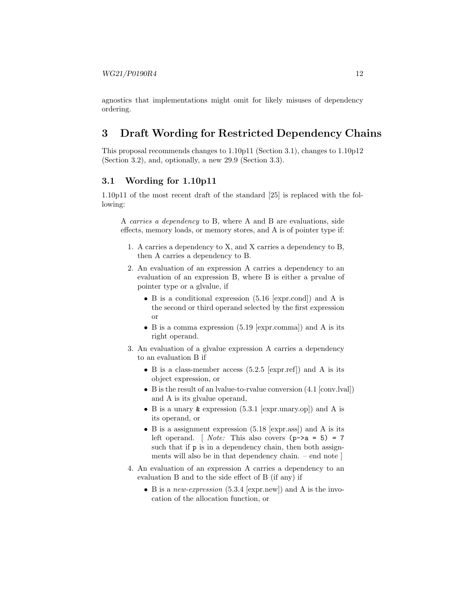agnostics that implementations might omit for likely misuses of dependency ordering.

# <span id="page-11-0"></span>3 Draft Wording for Restricted Dependency Chains

This proposal recommends changes to 1.10p11 (Section [3.1\)](#page-11-1), changes to 1.10p12 (Section [3.2\)](#page-14-0), and, optionally, a new 29.9 (Section [3.3\)](#page-14-1).

#### <span id="page-11-1"></span>3.1 Wording for 1.10p11

1.10p11 of the most recent draft of the standard [\[25\]](#page-31-0) is replaced with the following:

A carries a dependency to B, where A and B are evaluations, side effects, memory loads, or memory stores, and A is of pointer type if:

- 1. A carries a dependency to X, and X carries a dependency to B, then A carries a dependency to B.
- 2. An evaluation of an expression A carries a dependency to an evaluation of an expression B, where B is either a prvalue of pointer type or a glvalue, if
	- B is a conditional expression (5.16 [expr.cond]) and A is the second or third operand selected by the first expression or
	- B is a comma expression (5.19 [expr.comma]) and A is its right operand.
- 3. An evaluation of a glvalue expression A carries a dependency to an evaluation B if
	- B is a class-member access (5.2.5 [expr.ref]) and A is its object expression, or
	- B is the result of an lvalue-to-rvalue conversion (4.1 [conv.lval]) and A is its glvalue operand,
	- B is a unary & expression (5.3.1 [expr.unary.op]) and A is its operand, or
	- B is a assignment expression (5.18 [expr.ass]) and A is its left operand. [ *Note:* This also covers  $(p-\lambda a = 5) = 7$ such that if  $p$  is in a dependency chain, then both assignments will also be in that dependency chain. – end note ]
- 4. An evaluation of an expression A carries a dependency to an evaluation B and to the side effect of B (if any) if
	- B is a new-expression  $(5.3.4 \text{ [expr.new]})$  and A is the invocation of the allocation function, or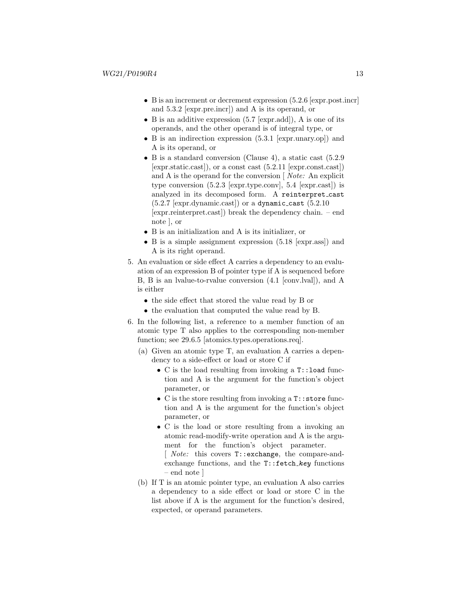- B is an increment or decrement expression  $(5.2.6 \text{ [expr.post.incr]})$ and 5.3.2 [expr.pre.incr]) and A is its operand, or
- B is an additive expression (5.7 [expr.add]), A is one of its operands, and the other operand is of integral type, or
- B is an indirection expression (5.3.1 [expr.unary.op]) and A is its operand, or
- B is a standard conversion (Clause 4), a static cast  $(5.2.9)$ [expr.static.cast]), or a const cast (5.2.11 [expr.const.cast]) and A is the operand for the conversion [ Note: An explicit type conversion (5.2.3 [expr.type.conv], 5.4 [expr.cast]) is analyzed in its decomposed form. A reinterpret cast  $(5.2.7$  [expr.dynamic.cast]) or a dynamic\_cast  $(5.2.10)$ [expr.reinterpret.cast]) break the dependency chain. – end note ], or
- B is an initialization and A is its initializer, or
- B is a simple assignment expression (5.18 [expr.ass]) and A is its right operand.
- 5. An evaluation or side effect A carries a dependency to an evaluation of an expression B of pointer type if A is sequenced before B, B is an lvalue-to-rvalue conversion (4.1 [conv.lval]), and A is either
	- the side effect that stored the value read by B or
	- the evaluation that computed the value read by B.
- 6. In the following list, a reference to a member function of an atomic type T also applies to the corresponding non-member function; see 29.6.5 [atomics.types.operations.req].
	- (a) Given an atomic type T, an evaluation A carries a dependency to a side-effect or load or store C if
		- C is the load resulting from invoking a T::load function and A is the argument for the function's object parameter, or
		- C is the store resulting from invoking a T::store function and A is the argument for the function's object parameter, or
		- C is the load or store resulting from a invoking an atomic read-modify-write operation and A is the argument for the function's object parameter.

[ *Note:* this covers  $T:$ : exchange, the compare-andexchange functions, and the  $T:$ : fetch\_key functions – end note ]

(b) If T is an atomic pointer type, an evaluation A also carries a dependency to a side effect or load or store C in the list above if A is the argument for the function's desired, expected, or operand parameters.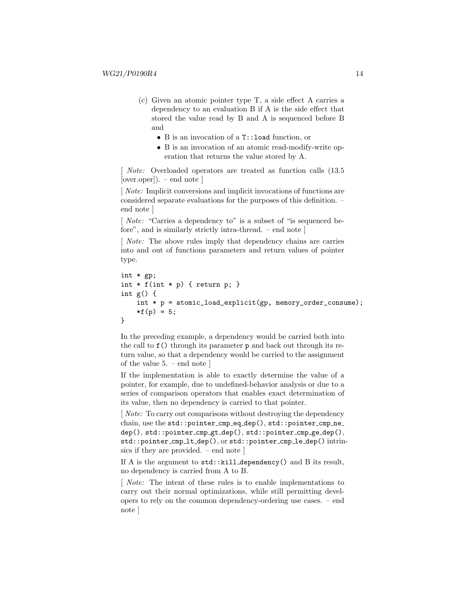- (c) Given an atomic pointer type T, a side effect A carries a dependency to an evaluation B if A is the side effect that stored the value read by B and A is sequenced before B and
	- B is an invocation of a T::load function, or
	- B is an invocation of an atomic read-modify-write operation that returns the value stored by A.

[ Note: Overloaded operators are treated as function calls (13.5 [over.oper]). – end note ]

[ Note: Implicit conversions and implicit invocations of functions are considered separate evaluations for the purposes of this definition. – end note ]

[ *Note:* "Carries a dependency to" is a subset of "is sequenced before", and is similarly strictly intra-thread. – end note ]

[*Note:* The above rules imply that dependency chains are carries into and out of functions parameters and return values of pointer type.

```
int * gp;
int * f(int * p) { return p; }
int g() \{int * p = atomic_load_explicit(gp, memory_order_consume);
    *f(p) = 5;}
```
In the preceding example, a dependency would be carried both into the call to f() through its parameter p and back out through its return value, so that a dependency would be carried to the assignment of the value 5. – end note ]

If the implementation is able to exactly determine the value of a pointer, for example, due to undefined-behavior analysis or due to a series of comparison operators that enables exact determination of its value, then no dependency is carried to that pointer.

[*Note:* To carry out comparisons without destroying the dependency chain, use the std::pointer\_cmp\_eq\_dep(), std::pointer\_cmp\_ne\_ dep(), std::pointer cmp gt dep(), std::pointer cmp ge dep(), std::pointer cmp lt dep(), or std::pointer cmp le dep() intrinsics if they are provided. – end note ]

If A is the argument to std::kill\_dependency() and B its result, no dependency is carried from A to B.

[ Note: The intent of these rules is to enable implementations to carry out their normal optimizations, while still permitting developers to rely on the common dependency-ordering use cases. – end note ]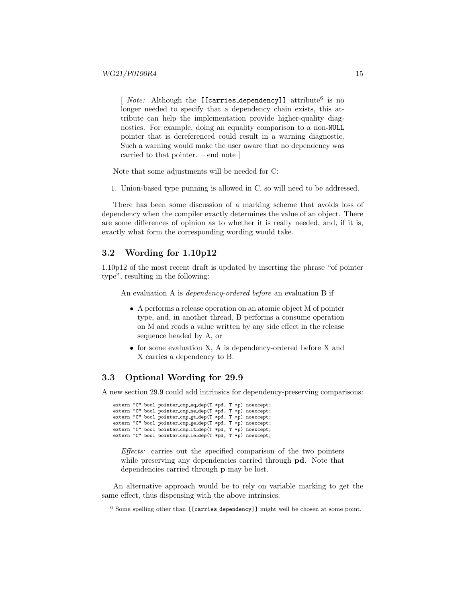[ *Note:* Although the [[carries\_dependency]] attribute<sup>[6](#page-14-2)</sup> is no longer needed to specify that a dependency chain exists, this attribute can help the implementation provide higher-quality diagnostics. For example, doing an equality comparison to a non-NULL pointer that is dereferenced could result in a warning diagnostic. Such a warning would make the user aware that no dependency was carried to that pointer. – end note ]

Note that some adjustments will be needed for C:

1. Union-based type punning is allowed in C, so will need to be addressed.

There has been some discussion of a marking scheme that avoids loss of dependency when the compiler exactly determines the value of an object. There are some differences of opinion as to whether it is really needed, and, if it is, exactly what form the corresponding wording would take.

#### <span id="page-14-0"></span>3.2 Wording for 1.10p12

1.10p12 of the most recent draft is updated by inserting the phrase "of pointer type", resulting in the following:

An evaluation A is dependency-ordered before an evaluation B if

- A performs a release operation on an atomic object M of pointer type, and, in another thread, B performs a consume operation on M and reads a value written by any side effect in the release sequence headed by A, or
- for some evaluation X, A is dependency-ordered before X and X carries a dependency to B.

### <span id="page-14-1"></span>3.3 Optional Wording for 29.9

A new section 29.9 could add intrinsics for dependency-preserving comparisons:

extern "C" bool pointer cmp eq dep(T \*pd, T \*p) noexcept; extern "C" bool pointer cmp ne dep(T \*pd, T \*p) noexcept; extern "C" bool pointer cmp gt dep(T \*pd, T \*p) noexcept; extern "C" bool pointer cmp ge dep(T \*pd, T \*p) noexcept; extern "C" bool pointer cmp lt dep(T \*pd, T \*p) noexcept; extern "C" bool pointer cmp le dep(T \*pd, T \*p) noexcept;

Effects: carries out the specified comparison of the two pointers while preserving any dependencies carried through **pd**. Note that dependencies carried through p may be lost.

An alternative approach would be to rely on variable marking to get the same effect, thus dispensing with the above intrinsics.

<span id="page-14-2"></span><sup>6</sup> Some spelling other than [[carries dependency]] might well be chosen at some point.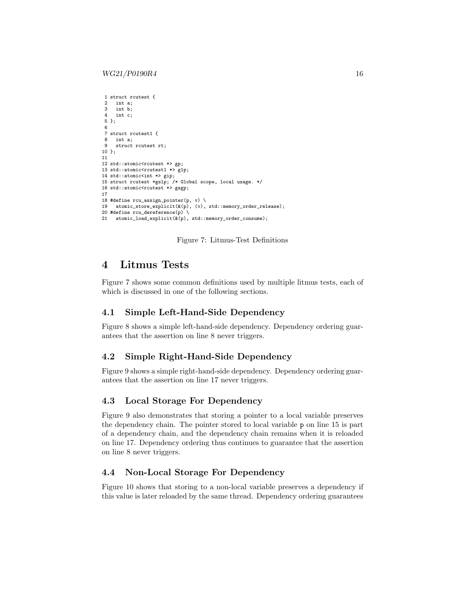```
1 struct rcutest {
2 int a;<br>3 int b:
    int b:
4 int c;
5 };
6
7 struct rcutest1 {
8 int a;
9 struct rcutest rt;
10 };
11
12 std::atomic<rcutest *> gp;
13 std::atomic<rcutest1 *> g1p;
14 std::atomic<int *> gip;
15 struct rcutest *gslp; /* Global scope, local usage. */
16 std::atomic<rcutest *> gsgp;
17
18 #define rcu_assign_pointer(p, v) \setminus19 atomic_store_explicit(&(p), (v), std::memory_order_release);
20 #define rcu_dereference(p) \
   21 atomic_load_explicit(&(p), std::memory_order_consume);
```
Figure 7: Litmus-Test Definitions

### <span id="page-15-0"></span>4 Litmus Tests

Figure [7](#page-15-1) shows some common definitions used by multiple litmus tests, each of which is discussed in one of the following sections.

#### 4.1 Simple Left-Hand-Side Dependency

Figure [8](#page-16-0) shows a simple left-hand-side dependency. Dependency ordering guarantees that the assertion on line 8 never triggers.

#### 4.2 Simple Right-Hand-Side Dependency

Figure [9](#page-16-1) shows a simple right-hand-side dependency. Dependency ordering guarantees that the assertion on line 17 never triggers.

#### 4.3 Local Storage For Dependency

Figure [9](#page-16-1) also demonstrates that storing a pointer to a local variable preserves the dependency chain. The pointer stored to local variable p on line 15 is part of a dependency chain, and the dependency chain remains when it is reloaded on line 17. Dependency ordering thus continues to guarantee that the assertion on line 8 never triggers.

### 4.4 Non-Local Storage For Dependency

Figure [10](#page-17-0) shows that storing to a non-local variable preserves a dependency if this value is later reloaded by the same thread. Dependency ordering guarantees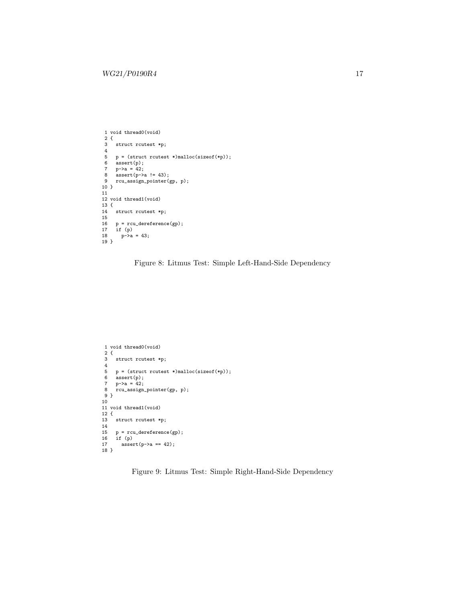```
1 void thread0(void)
 2 {
3 struct rcutest *p;
4
 5 p = (struct rcutest *)malloc(sizeof(*p));
6 assert(p);
 7 p->a = 42;
8 assert(p->a != 43);
9 rcu_assign_pointer(gp, p);
10 }
11
12 void thread1(void)
13 {
14 struct rcutest *p;
15
16 p = rcu\_derference(gp);<br>17 if (p)17 if (p)
18 p->a = 43;
19 }
```
Figure 8: Litmus Test: Simple Left-Hand-Side Dependency

```
1 void thread0(void)
\frac{2}{3}struct rcutest *p;
 4
5 p = (struct rcutest *)malloc(sizeof(*p));
6 \text{assert}(p);<br>
7 p-\geq a = 42;
7 p-\geq a = 42;<br>8 rcu_assignrcu_assign_pointer(gp, p);
9 }
10
11 void thread1(void)
12 {
13 struct rcutest *p;
14
15 p = rcu_dereference(gp);
16 if (p)
17 \quad assert(p->a == 42);
18 }
```
Figure 9: Litmus Test: Simple Right-Hand-Side Dependency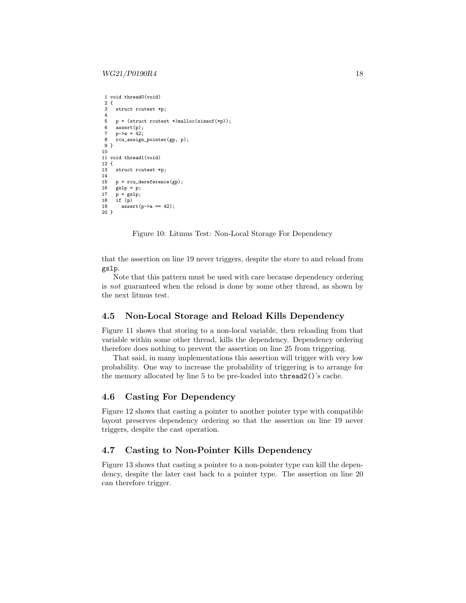```
1 void thread0(void)
 2 \t3struct rcutest *p;
 \frac{4}{5}p = (struct \, \text{rcutest} \, * )malloc(sizeof(*p));
 6 assert(p);
 7 p-\gea = 42;<br>8 rcu assign
     8 rcu_assign_pointer(gp, p);
9 }
10
11 void thread1(void)
12 \t{13}struct rcutest *p;
14
15 p = rcu\_dereference(gp);<br>16 gslp = p:
      gslp = p;17 p = gslp;<br>18 if (p)if (p)19 assert(p->a == 42);
20 }
```
Figure 10: Litmus Test: Non-Local Storage For Dependency

that the assertion on line 19 never triggers, despite the store to and reload from gslp.

Note that this pattern must be used with care because dependency ordering is not guaranteed when the reload is done by some other thread, as shown by the next litmus test.

#### 4.5 Non-Local Storage and Reload Kills Dependency

Figure [11](#page-18-0) shows that storing to a non-local variable, then reloading from that variable within some other thread, kills the dependency. Dependency ordering therefore does nothing to prevent the assertion on line 25 from triggering.

That said, in many implementations this assertion will trigger with very low probability. One way to increase the probability of triggering is to arrange for the memory allocated by line 5 to be pre-loaded into thread2()'s cache.

#### 4.6 Casting For Dependency

Figure [12](#page-18-1) shows that casting a pointer to another pointer type with compatible layout preserves dependency ordering so that the assertion on line 19 never triggers, despite the cast operation.

### 4.7 Casting to Non-Pointer Kills Dependency

Figure [13](#page-19-0) shows that casting a pointer to a non-pointer type can kill the dependency, despite the later cast back to a pointer type. The assertion on line 20 can therefore trigger.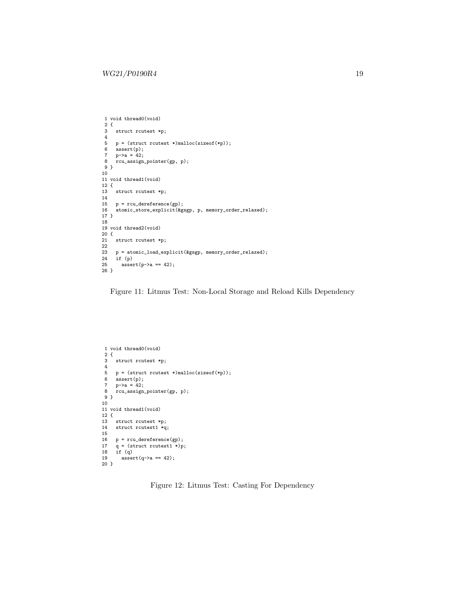```
1 void thread0(void)
  2 {
3 struct rcutest *p;
 4
 5 p = (struct \, \text{rquest *}) \text{malloc}(size \, \text{of} \, \text{(*)});<br>6 assert(p);
 6 \text{assert}(p);<br>
7 p-\lambda a = 42;
  7 p->a = 42;
8 rcu_assign_pointer(gp, p);
 9 }
10
11 void thread1(void)
12 {
13 struct rcutest *p;
\frac{14}{15}15 p = rcu_dereference(gp);
      atomic_store_explicit(&gsgp, p, memory_order_relaxed);
17 }
18
19 void thread2(void)
20 {
     struct rcutest *p;
\begin{array}{c} 21 \\ 22 \\ 23 \end{array}23 p = atomic_load_explicit(&gsgp, memory_order_relaxed);
24 if (p)<br>25 asser
        assert(p-\ge a == 42);26 }
```
Figure 11: Litmus Test: Non-Local Storage and Reload Kills Dependency

```
1 void thread0(void)
2 {
 3 struct rcutest *p;
 4
5 p = (struct rcutest *)malloc(sizeof(*p));<br>6 assert(p);<br>7 n-\lambda a = 42:
    6 assert(p);
    p->a = 42;8 rcu_assign_pointer(gp, p);
9 }
10
11 void thread1(void)
12 {
13 struct rcutest *p;
14 struct rcutest1 *q;
15
16 p = rcu_dereference(gp);
17 q = (struct rcutest1 *)p;
18 if (q)
19 assert(q->a == 42);
20 }
```
Figure 12: Litmus Test: Casting For Dependency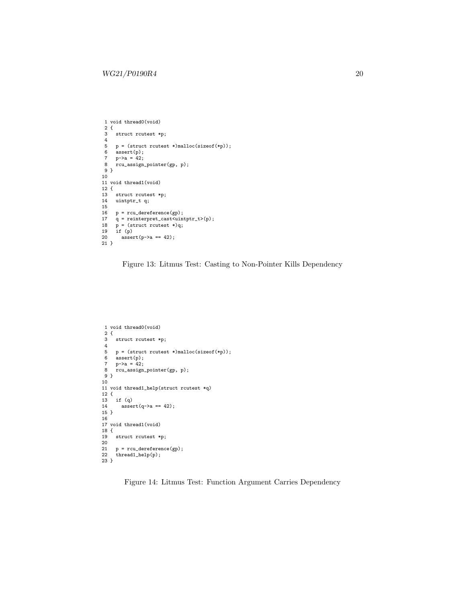```
1 void thread0(void)
 2 \t3struct rcutest *p;
\begin{array}{c} 4 \\ 5 \end{array}5 p = (struct \, \text{rquest *}) \text{malloc}(size \, \text{of} \, (*p));<br>6 assert(p);6 assert(p);<br>
7 p-\ge a = 42;
  7 p->a = 42;
8 rcu_assign_pointer(gp, p);
9 }
10
11 void thread1(void)
12 {
13 struct rcutest *p;
14 uintptr_t q;
15
16 p = rcu\_derference(gp);<br>17 q = reinterpret\_cast < uin'17 q = reinterpret_cast<uintptr_t>(p);<br>
18 p = (struct rcutest *)q;
18 p = (struct \, routest *)q;<br>19 if (p)19 if (p)
          assert(p-\lambda a == 42);21 }
```
Figure 13: Litmus Test: Casting to Non-Pointer Kills Dependency

```
1 void thread0(void)
 2 {
 3 struct rcutest *p;
 4
 5 p = (struct \, \text{rquest *}) \text{malloc}(sizeof(*p));<br>6 assert(p);6 \arcsin(1);<br>
7 p-\ge a = 42;
  7 p->a = 42;
8 rcu_assign_pointer(gp, p);
9 }
10
11 void thread1_help(struct rcutest *q)
12 {
13 if (q)
        \text{assert}(q \rightarrow a == 42);15 }
16
17 void thread1(void)
18 {
19 struct rcutest *p;
\frac{20}{21}21 p = rcu\_derference(gp);<br>22 thread1_help(p);
      thread1_{help}(p);
23 }
```
Figure 14: Litmus Test: Function Argument Carries Dependency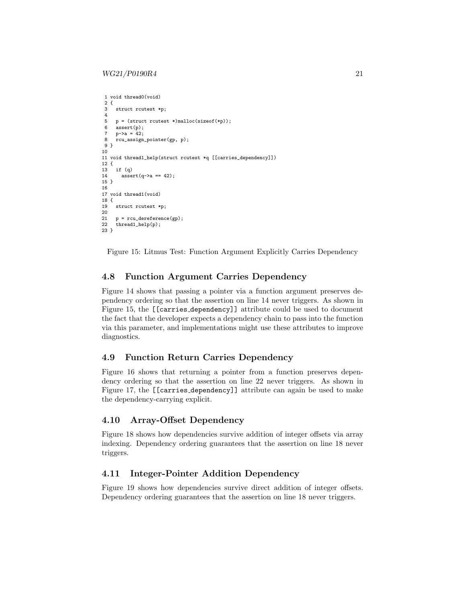```
1 void thread0(void)
2 \t3struct rcutest *p;
\frac{4}{5}p = (struct \, \text{rcutest } *)malloc(sizeof(*p));
6 assert(p);
7 p-\gea = 42;<br>8 rcu assign
     8 rcu_assign_pointer(gp, p);
9 }
10
11 void thread1_help(struct rcutest *q [[carries_dependency]])
12 \t{13}if (a)14 \arctan(9-2a == 42);15 }
16
17 void thread1(void)
18 {
19 struct rcutest *p;
\frac{20}{21}21 p = rcu\_derference(gp);<br>22 thread1 help(p);
     thread1_{help(p)};
23 }
```
Figure 15: Litmus Test: Function Argument Explicitly Carries Dependency

#### 4.8 Function Argument Carries Dependency

Figure [14](#page-19-1) shows that passing a pointer via a function argument preserves dependency ordering so that the assertion on line 14 never triggers. As shown in Figure [15,](#page-20-0) the [[carries dependency]] attribute could be used to document the fact that the developer expects a dependency chain to pass into the function via this parameter, and implementations might use these attributes to improve diagnostics.

#### 4.9 Function Return Carries Dependency

Figure [16](#page-21-0) shows that returning a pointer from a function preserves dependency ordering so that the assertion on line 22 never triggers. As shown in Figure [17,](#page-21-1) the [[carries dependency]] attribute can again be used to make the dependency-carrying explicit.

#### 4.10 Array-Offset Dependency

Figure [18](#page-22-0) shows how dependencies survive addition of integer offsets via array indexing. Dependency ordering guarantees that the assertion on line 18 never triggers.

### 4.11 Integer-Pointer Addition Dependency

Figure [19](#page-22-1) shows how dependencies survive direct addition of integer offsets. Dependency ordering guarantees that the assertion on line 18 never triggers.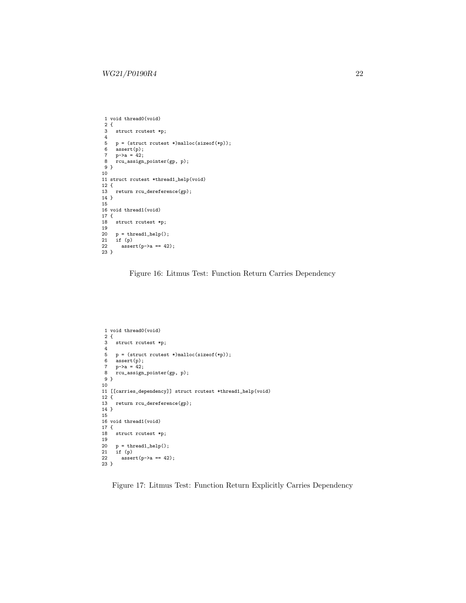```
1 void thread0(void)
   2 {
3 struct rcutest *p;
 4
 5 p = (struct \, \text{rquest *}) \text{malloc}(size \, \text{of} \, \text{(*)});<br>6 assert(p);
 6 \text{assert}(p);<br>
7 p-\lambda a = 42;
   7 p->a = 42;
8 rcu_assign_pointer(gp, p);
 9 }
10
11 struct rcutest *thread1_help(void)
12 {
       return rcu_dereference(gp);
\begin{array}{c} 13 \\ 14 \end{array}15
16 void thread1(void)
\begin{array}{c} 17 \ 18 \end{array} {
       struct rcutest *p;
19
20 p = \text{thread1\_help}();<br>
21 if (p)<br>
22 assert(p->a == 42
        21 if (p)
           assert(p-\lambda) = 42);23 }
```
Figure 16: Litmus Test: Function Return Carries Dependency

```
1 void thread0(void)
2 {
 3 struct rcutest *p;
\frac{4}{5}p = (struct \; routest *) \text{malloc}(sizeof(*p));6 assert(p);<br>7 p\rightarrow a = 42:
7 p-\geq a = 42;<br>8 rcu assign
      8 rcu_assign_pointer(gp, p);
9 }
10
11 [[carries_dependency]] struct rcutest *thread1_help(void)
\begin{array}{c} 12 \\ 13 \end{array}return rcu_dereference(gp);
14 }
15
16 void thread1(void)
17 {
18 struct rcutest *p;
19
20 p = \text{thread1\_help}();<br>21 if (p)if (p)assert(p-\ge a == 42);\begin{array}{c} 22 \\ 23 \end{array}
```
Figure 17: Litmus Test: Function Return Explicitly Carries Dependency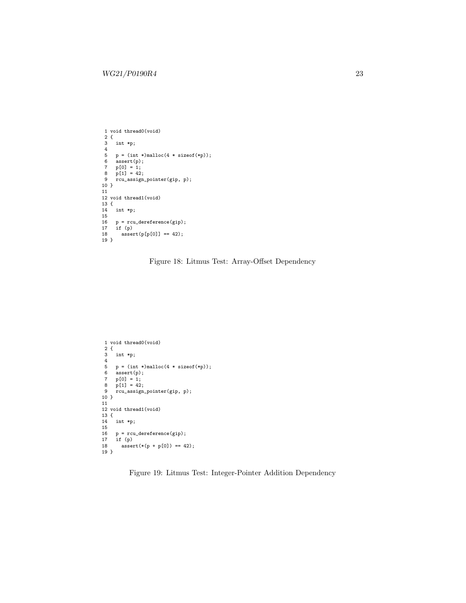```
1 void thread0(void)
 2 {
 3 int *p;
 \frac{4}{5}5 p = (int *) \text{malloc}(4 * \text{sizeof}(*p));<br>6 \text{assert}(p);\frac{1}{\text{assert}}(p);
 7 \quad p[0] = 1;8 p[1] = 42;
9 rcu_assign_pointer(gip, p);
10}
 11
12 void thread1(void)
13 \begin{array}{c} 1 \\ 14 \end{array}int *p;1516 p = rcu_dereference(gip);
17 if (p)
18 \arctan{\frac{1}{2}} assert(p[p[0]] == 42);
19 }
```
Figure 18: Litmus Test: Array-Offset Dependency

```
1 void thread0(void)
 2 {
3 int *p;
 4
5 p = (int *) \text{malloc}(4 * sizeof(*p));6 assert(p);
 7 p[0] = 1;
8 p[1] = 42;
9 rcu_assign_pointer(gip, p);
10 }
11
12 void thread1(void)
13 {
14 int *p;
15
16 p = rcu\_derference(gip);<br>17 if (p)17 if (p)
     \text{assert}(*(p + p[0]) == 42);19 }
```
Figure 19: Litmus Test: Integer-Pointer Addition Dependency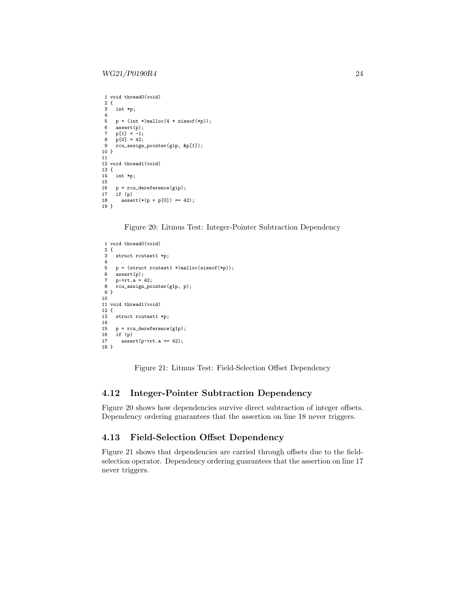```
1 void thread0(void)
2 \t3int *p;
 \frac{4}{5}p = (int *)malloc(4 * sizeof(*p));6 assert(p);<br>7 p[1] = -1:
 7 p[1] = -1;
8 p[0] = 42;
9 rcu_assign_pointer(gip, &p[1]);
10 }
11
12 void thread1(void)
13 {
14 int *p;
\frac{15}{16}p = rcu_{\text{deference}}(gip);17 if (p)
       assert(*(p + p[0]) == 42);19 }
```
Figure 20: Litmus Test: Integer-Pointer Subtraction Dependency

```
1 void thread0(void)
2 {
3 struct rcutest1 *p;
\frac{4}{5}p = (struct \, \text{rcutest1} \, * )malloc(sizeof(*p));
 6 assert(p);
7 p->rt.a = 42;
8 rcu_assign_pointer(g1p, p);
9 }
10
11 void thread1(void)
12 \{<br>13struct rcutest1 *p;
14
15 p = rcu\_dereference(g1p);<br>16 if (p)
     if (p)17 assert(p->rt.a == 42);
18 }
```
Figure 21: Litmus Test: Field-Selection Offset Dependency

### 4.12 Integer-Pointer Subtraction Dependency

Figure [20](#page-23-0) shows how dependencies survive direct subtraction of integer offsets. Dependency ordering guarantees that the assertion on line 18 never triggers.

### 4.13 Field-Selection Offset Dependency

Figure [21](#page-23-1) shows that dependencies are carried through offsets due to the fieldselection operator. Dependency ordering guarantees that the assertion on line 17 never triggers.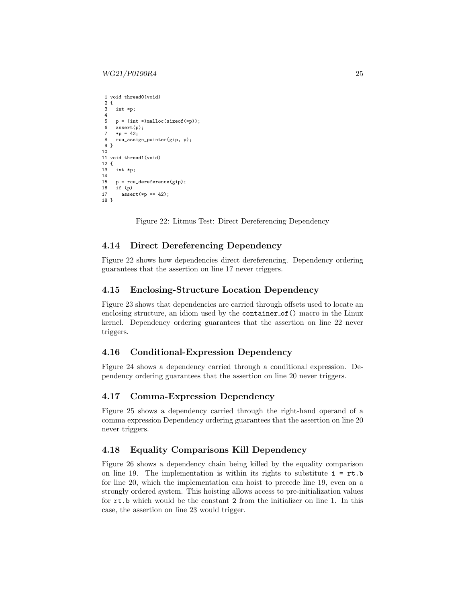#### $WG21/P0190R4$  25

```
1 void thread0(void)
2 \t3int *p;
\frac{4}{5}p = (int *)malloc(sizeof(*p));
6 assert(p);
7 *p = 42;
    8 rcu_assign_pointer(gip, p);
9 }
10
11 void thread1(void)
12 \t{13}int *p;
14
15 p = rcu\_derference(gip);<br>16 if (p)
     if (p)17 assert(*p == 42);
18 }
```
Figure 22: Litmus Test: Direct Dereferencing Dependency

#### 4.14 Direct Dereferencing Dependency

Figure [22](#page-24-0) shows how dependencies direct dereferencing. Dependency ordering guarantees that the assertion on line 17 never triggers.

### 4.15 Enclosing-Structure Location Dependency

Figure [23](#page-25-0) shows that dependencies are carried through offsets used to locate an enclosing structure, an idiom used by the container of () macro in the Linux kernel. Dependency ordering guarantees that the assertion on line 22 never triggers.

### 4.16 Conditional-Expression Dependency

Figure [24](#page-25-1) shows a dependency carried through a conditional expression. Dependency ordering guarantees that the assertion on line 20 never triggers.

#### 4.17 Comma-Expression Dependency

Figure [25](#page-26-0) shows a dependency carried through the right-hand operand of a comma expression Dependency ordering guarantees that the assertion on line 20 never triggers.

### 4.18 Equality Comparisons Kill Dependency

Figure [26](#page-26-1) shows a dependency chain being killed by the equality comparison on line 19. The implementation is within its rights to substitute  $i = rt.b$ for line 20, which the implementation can hoist to precede line 19, even on a strongly ordered system. This hoisting allows access to pre-initialization values for rt.b which would be the constant 2 from the initializer on line 1. In this case, the assertion on line 23 would trigger.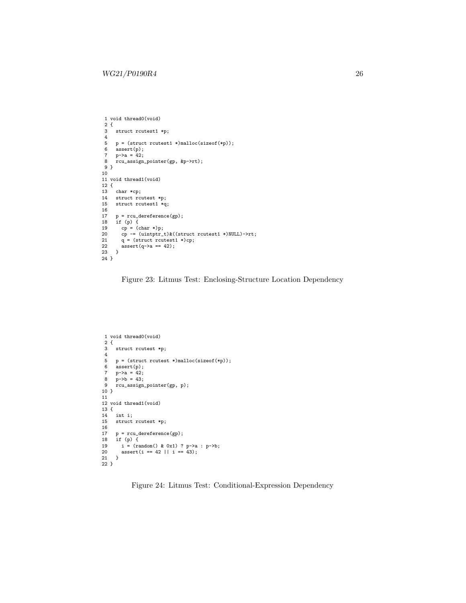```
1 void thread0(void)
   2 {
3 struct rcutest1 *p;
  4
 5 p = (struct \, \text{rcutest1} \, \text{*)} \, \text{malloc} \, (\text{sizeof} \, (\text{*p}));<br>6 assert (p);
       .<br>assert(p);
   7 p->a = 42;
8 rcu_assign_pointer(gp, &p->rt);
 9 }
10
11 void thread1(void)
12 {
13 char *cp;<br>14 struct rcu
14 struct routest *p;<br>15 struct routest1 *q
       struct rcutest1 *q;
\frac{16}{17}\begin{array}{lll} \text{17} & \text{p = rcu\_derference}\text{(gp)}\,; \\ \text{18} & \text{if (p) { }} \end{array}18 if (p) {
19 cp = (char *)p;
20 cp -= (uintptr_t)&((struct rcutest1 *)NULL)->rt;
21 q = (struct\, 1 *)cp;<br>22 assert(q \rightarrow a == 42);assert(q-\lambda a == 42);23 }
24 }
```
Figure 23: Litmus Test: Enclosing-Structure Location Dependency

```
1 void thread0(void)
 2 {
 3 struct rcutest *p;
 4
 5 p = (struct \, \text{rcutest} \, * )\text{malloc}(\text{sizeof}(*p));<br>6 assert(p):assert(p);7   p \rightarrow a = 42;
8 \frac{1}{p-2b} = 43;<br>9 rcu assign
      rcu_assign_pointer(gp, p);
10 }
11
12 void thread1(void)
13 {
14 int i;<br>15 struct
      struct rcutest *p;
\frac{16}{17}17 p = rcu\_derference(gp);<br>18 if (p) {
18 if (p) {
19 i = (random() & 0x1) ? p->a : p->b;
20 assert(i == 42 || i == 43);
21 }
22 }
```
Figure 24: Litmus Test: Conditional-Expression Dependency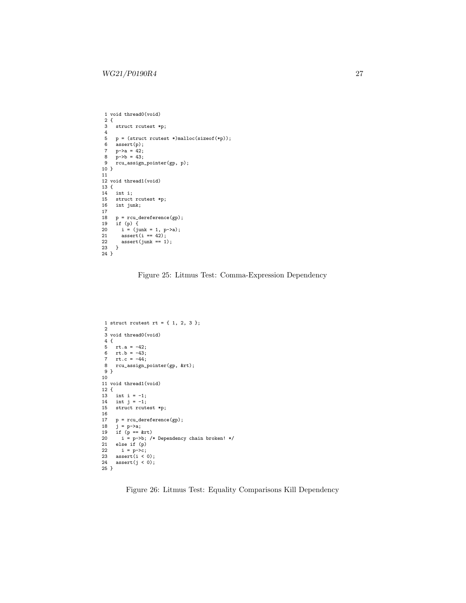```
1 void thread0(void)
 \begin{array}{c} 2 \\ 3 \end{array} {
      struct rcutest *p;
 \frac{4}{5}5 p = (struct rcutest *)malloc(sizeof(*p));
6 assert(p);
 7 p-\ge a = 42;<br>8 p-\ge b = 43;
  8 p->b = 43;
9 rcu_assign_pointer(gp, p);
10 }
11
12 void thread1(void)
 13 {
14 int i;
15 struct rcutest *p;
16 int junk;
\begin{array}{c} 17 \\ 18 \end{array}18 p = rcu_dereference(gp);
19 if (p) {
20 i = (junk = 1, p->a);
21 assert(i == 42);
22 \quad assert(junk == 1);
\frac{1}{23} }
24 }
```
Figure 25: Litmus Test: Comma-Expression Dependency

```
1 struct rcutest rt = \{ 1, 2, 3 \};
 2
3 void thread0(void)
 4 {
  5 rt.a = -42;
6 rt.b = -43;
7 rt.c = -44;
  8 rcu_assign_pointer(gp, &rt);
9 }
10
11 void thread1(void)
12 {
13 int i = -1;
 14 int j = -1;
15 struct rcutest *p;
16
17 p = rcu\_derference(gp);<br>
18 j = p-\lambda a;18 j = p - \lambda a;<br>19 if (p == 8)
 19 if (p == &rt)
20 i = p->b; /* Dependency chain broken! */
21 else if (p)<br>22 i = p->c;
22 i = p-\infty;<br>23 assert(i < 0);
 23 assert(i < 0);
24 assert(j < 0);
25 }
```
Figure 26: Litmus Test: Equality Comparisons Kill Dependency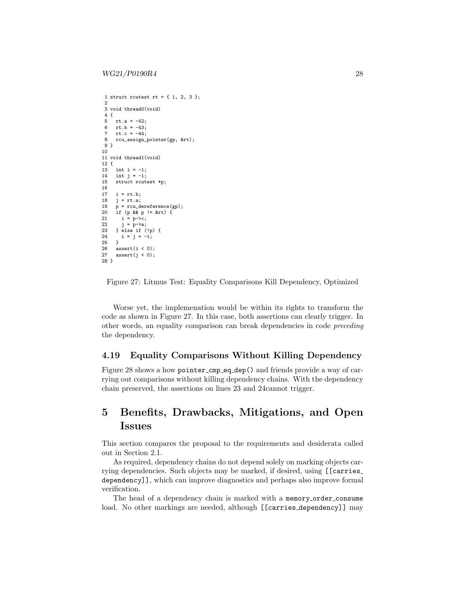```
1 struct rcutest rt = \{ 1, 2, 3 \};
  2
3 void thread0(void)
 \frac{4}{5}rt.a = -42;6 rt.b = -43;
 7 rt.c = -44;<br>8 rcu assign i
     8 rcu_assign_pointer(gp, &rt);
9 }
10
11 void thread1(void)
12 \t{13}int i = -1;
13 int j = -1;
15 struct rcutest *p;
16
17 i = rt.b;<br>18 j = rt.a;j = rt.a;19 p = rcu\_derference(gp);<br>20 if (p \& p != \& rt) {
20 if (p \& p := krt) {<br>21 i = p->c;
21 i = p-\geq c;<br>22 i = p-\geq a;
22 j = p-\lambda a;<br>23 } else if (
23 } else if (!p) {<br>24 i = j = -1;
      i = j = -1;\frac{25}{26}26 assert(i < 0);<br>27 assert(i < 0):assert(j < 0);28 }
```
Figure 27: Litmus Test: Equality Comparisons Kill Dependency, Optimized

Worse yet, the implemenation would be within its rights to transform the code as shown in Figure [27.](#page-27-1) In this case, both assertions can clearly trigger. In other words, an equality comparison can break dependencies in code preceding the dependency.

### 4.19 Equality Comparisons Without Killing Dependency

Figure [28](#page-28-0) shows a how pointer cmp eq dep() and friends provide a way of carrying out comparisons without killing dependency chains. With the dependency chain preserved, the assertions on lines 23 and 24cannot trigger.

# <span id="page-27-0"></span>5 Benefits, Drawbacks, Mitigations, and Open Issues

This section compares the proposal to the requirements and desiderata called out in Section [2.1.](#page-2-1)

As required, dependency chains do not depend solely on marking objects carrying dependencies. Such objects may be marked, if desired, using [[carries dependency]], which can improve diagnostics and perhaps also improve formal verification.

The head of a dependency chain is marked with a memory order consume load. No other markings are needed, although [[carries dependency]] may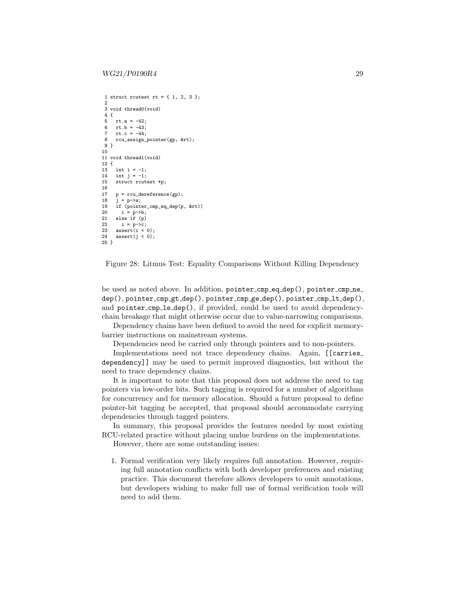```
1 struct rcutest rt = { 1, 2, 3 };
  2
3 void thread0(void)
 \frac{4}{5}rt.a = -42;6 rt.b = -43;7 rt.c = -44;<br>8 rcu assign
     8 rcu_assign_pointer(gp, &rt);
9 }
10
11 void thread1(void)
12 \t{13}int i = -1;
14 int j = -1;
15 struct rcutest *p;
16
17 p = rcu\_derference(gp);<br>
18 j = p-\lambda a;p - >a;19 if (pointer_cmp_eq_dep(p, \text{ krt}))<br>20 i = p->b;
20 i = p-\gt{b};<br>21 else if (p)
21 else if (p)<br>22 i = p->c:
22 i = p-\sum;<br>23 assert(i <23 \text{assert}(i \leq 0);<br>24 \text{assert}(i \leq 0):assert(j < 0);25 }
```
Figure 28: Litmus Test: Equality Comparisons Without Killing Dependency

be used as noted above. In addition, pointer cmp eq dep(), pointer cmp ne dep(), pointer cmp gt dep(), pointer cmp ge dep(), pointer cmp lt dep(), and pointer cmp le dep(), if provided, could be used to avoid dependencychain breakage that might otherwise occur due to value-narrowing comparisons.

Dependency chains have been defined to avoid the need for explicit memorybarrier instructions on mainstream systems.

Dependencies need be carried only through pointers and to non-pointers.

Implementations need not trace dependency chains. Again, [[carries dependency]] may be used to permit improved diagnostics, but without the need to trace dependency chains.

It is important to note that this proposal does not address the need to tag pointers via low-order bits. Such tagging is required for a number of algorithms for concurrency and for memory allocation. Should a future proposal to define pointer-bit tagging be accepted, that proposal should accommodate carrying dependencies through tagged pointers.

In summary, this proposal provides the features needed by most existing RCU-related practice without placing undue burdens on the implementations.

However, there are some outstanding issues:

1. Formal verification very likely requires full annotation. However, requiring full annotation conflicts with both developer preferences and existing practice. This document therefore allows developers to omit annotations, but developers wishing to make full use of formal verification tools will need to add them.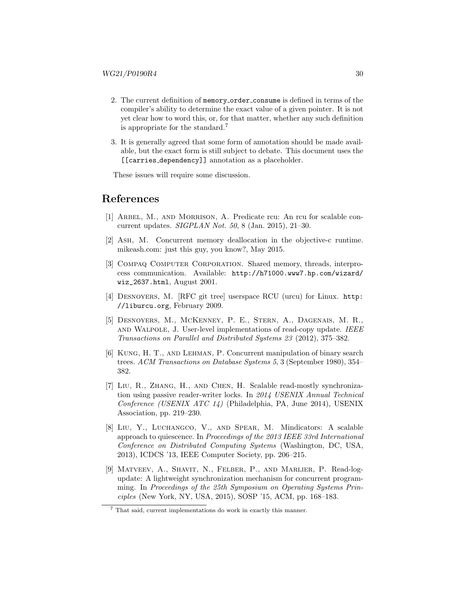- 2. The current definition of memory\_order\_consume is defined in terms of the compiler's ability to determine the exact value of a given pointer. It is not yet clear how to word this, or, for that matter, whether any such definition is appropriate for the standard.[7](#page-29-9)
- 3. It is generally agreed that some form of annotation should be made available, but the exact form is still subject to debate. This document uses the [[carries dependency]] annotation as a placeholder.

These issues will require some discussion.

### References

- <span id="page-29-1"></span>[1] Arbel, M., and Morrison, A. Predicate rcu: An rcu for scalable concurrent updates. SIGPLAN Not. 50, 8 (Jan. 2015), 21–30.
- <span id="page-29-2"></span>[2] Ash, M. Concurrent memory deallocation in the objective-c runtime. mikeash.com: just this guy, you know?, May 2015.
- <span id="page-29-8"></span>[3] Compaq Computer Corporation. Shared memory, threads, interprocess communication. Available: [http://h71000.www7.hp.com/wizard/](http://h71000.www7.hp.com/wizard/wiz_2637.html) [wiz\\_2637.html](http://h71000.www7.hp.com/wizard/wiz_2637.html), August 2001.
- <span id="page-29-3"></span>[4] Desnoyers, M. [RFC git tree] userspace RCU (urcu) for Linux. [http:](http://liburcu.org) [//liburcu.org](http://liburcu.org), February 2009.
- <span id="page-29-0"></span>[5] Desnoyers, M., McKenney, P. E., Stern, A., Dagenais, M. R., and Walpole, J. User-level implementations of read-copy update. IEEE Transactions on Parallel and Distributed Systems 23 (2012), 375–382.
- <span id="page-29-7"></span>[6] Kung, H. T., and Lehman, P. Concurrent manipulation of binary search trees. ACM Transactions on Database Systems 5, 3 (September 1980), 354– 382.
- <span id="page-29-4"></span>[7] Liu, R., Zhang, H., and Chen, H. Scalable read-mostly synchronization using passive reader-writer locks. In 2014 USENIX Annual Technical Conference (USENIX ATC 14) (Philadelphia, PA, June 2014), USENIX Association, pp. 219–230.
- <span id="page-29-5"></span>[8] Liu, Y., Luchangco, V., and Spear, M. Mindicators: A scalable approach to quiescence. In Proceedings of the 2013 IEEE 33rd International Conference on Distributed Computing Systems (Washington, DC, USA, 2013), ICDCS '13, IEEE Computer Society, pp. 206–215.
- <span id="page-29-6"></span>[9] Matveev, A., Shavit, N., Felber, P., and Marlier, P. Read-logupdate: A lightweight synchronization mechanism for concurrent programming. In Proceedings of the 25th Symposium on Operating Systems Principles (New York, NY, USA, 2015), SOSP '15, ACM, pp. 168–183.

<span id="page-29-9"></span><sup>7</sup> That said, current implementations do work in exactly this manner.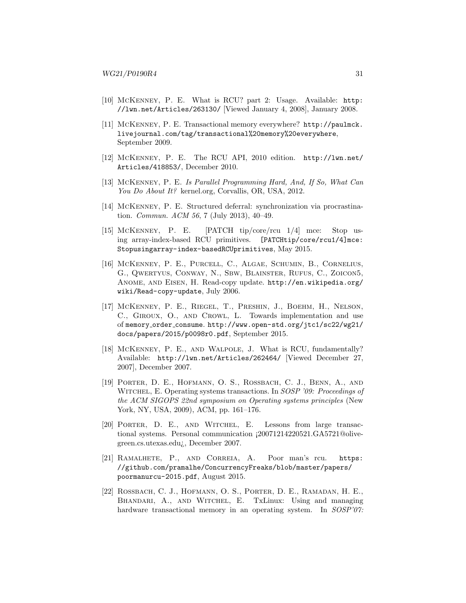- <span id="page-30-0"></span>[10] McKenney, P. E. What is RCU? part 2: Usage. Available: [http:](http://lwn.net/Articles/263130/) [//lwn.net/Articles/263130/](http://lwn.net/Articles/263130/) [Viewed January 4, 2008], January 2008.
- <span id="page-30-7"></span>[11] McKenney, P. E. Transactional memory everywhere? [http://paulmck.](http://paulmck.livejournal.com/tag/transactional%20memory%20everywhere) [livejournal.com/tag/transactional%20memory%20everywhere](http://paulmck.livejournal.com/tag/transactional%20memory%20everywhere), September 2009.
- <span id="page-30-1"></span>[12] McKenney, P. E. The RCU API, 2010 edition. [http://lwn.net/](http://lwn.net/Articles/418853/) [Articles/418853/](http://lwn.net/Articles/418853/), December 2010.
- <span id="page-30-2"></span>[13] McKenney, P. E. Is Parallel Programming Hard, And, If So, What Can You Do About It? kernel.org, Corvallis, OR, USA, 2012.
- <span id="page-30-3"></span>[14] McKenney, P. E. Structured deferral: synchronization via procrastination. Commun. ACM 56, 7 (July 2013), 40–49.
- <span id="page-30-11"></span>[15] McKenney, P. E. [PATCH tip/core/rcu 1/4] mce: Stop using array-index-based RCU primitives. [\[PATCHtip/core/rcu1/4\]mce:]([PATCH tip/core/rcu 1/4] mce: Stop using array-index-based RCU primitives) [Stopusingarray-index-basedRCUprimitives]([PATCH tip/core/rcu 1/4] mce: Stop using array-index-based RCU primitives), May 2015.
- <span id="page-30-4"></span>[16] McKenney, P. E., Purcell, C., Algae, Schumin, B., Cornelius, G., Qwertyus, Conway, N., Sbw, Blainster, Rufus, C., Zoicon5, Anome, and Eisen, H. Read-copy update. [http://en.wikipedia.org/](http://en.wikipedia.org/wiki/Read-copy-update) [wiki/Read-copy-update](http://en.wikipedia.org/wiki/Read-copy-update), July 2006.
- [17] McKenney, P. E., Riegel, T., Preshin, J., Boehm, H., Nelson, C., Giroux, O., and Crowl, L. Towards implementation and use of memory order consume. [http://www.open-std.org/jtc1/sc22/wg21/](http://www.open-std.org/jtc1/sc22/wg21/docs/papers/2015/p0098r0.pdf) [docs/papers/2015/p0098r0.pdf](http://www.open-std.org/jtc1/sc22/wg21/docs/papers/2015/p0098r0.pdf), September 2015.
- <span id="page-30-5"></span>[18] McKenney, P. E., and Walpole, J. What is RCU, fundamentally? Available: <http://lwn.net/Articles/262464/> [Viewed December 27, 2007], December 2007.
- <span id="page-30-8"></span>[19] Porter, D. E., Hofmann, O. S., Rossbach, C. J., Benn, A., and WITCHEL, E. Operating systems transactions. In *SOSP* '09: Proceedings of the ACM SIGOPS 22nd symposium on Operating systems principles (New York, NY, USA, 2009), ACM, pp. 161–176.
- <span id="page-30-9"></span>[20] Porter, D. E., and Witchel, E. Lessons from large transactional systems. Personal communication ¡20071214220521.GA5721@olivegreen.cs.utexas.edu¿, December 2007.
- <span id="page-30-6"></span>[21] Ramalhete, P., and Correia, A. Poor man's rcu. [https:](https://github.com/pramalhe/ConcurrencyFreaks/blob/master/papers/poormanurcu-2015.pdf) [//github.com/pramalhe/ConcurrencyFreaks/blob/master/papers/](https://github.com/pramalhe/ConcurrencyFreaks/blob/master/papers/poormanurcu-2015.pdf) [poormanurcu-2015.pdf](https://github.com/pramalhe/ConcurrencyFreaks/blob/master/papers/poormanurcu-2015.pdf), August 2015.
- <span id="page-30-10"></span>[22] Rossbach, C. J., Hofmann, O. S., Porter, D. E., Ramadan, H. E., Bhandari, A., and Witchel, E. TxLinux: Using and managing hardware transactional memory in an operating system. In SOSP'07: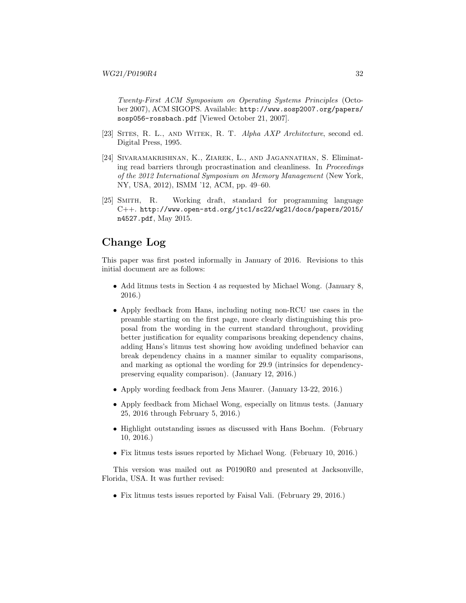Twenty-First ACM Symposium on Operating Systems Principles (October 2007), ACM SIGOPS. Available: [http://www.sosp2007.org/papers/](http://www.sosp2007.org/papers/sosp056-rossbach.pdf) [sosp056-rossbach.pdf](http://www.sosp2007.org/papers/sosp056-rossbach.pdf) [Viewed October 21, 2007].

- <span id="page-31-2"></span>[23] SITES, R. L., AND WITEK, R. T. Alpha AXP Architecture, second ed. Digital Press, 1995.
- <span id="page-31-1"></span>[24] Sivaramakrishnan, K., Ziarek, L., and Jagannathan, S. Eliminating read barriers through procrastination and cleanliness. In Proceedings of the 2012 International Symposium on Memory Management (New York, NY, USA, 2012), ISMM '12, ACM, pp. 49–60.
- <span id="page-31-0"></span>[25] Smith, R. Working draft, standard for programming language C++. [http://www.open-std.org/jtc1/sc22/wg21/docs/papers/2015/](http://www.open-std.org/jtc1/sc22/wg21/docs/papers/2015/n4527.pdf) [n4527.pdf](http://www.open-std.org/jtc1/sc22/wg21/docs/papers/2015/n4527.pdf), May 2015.

# Change Log

This paper was first posted informally in January of 2016. Revisions to this initial document are as follows:

- Add litmus tests in Section [4](#page-15-0) as requested by Michael Wong. (January 8, 2016.)
- Apply feedback from Hans, including noting non-RCU use cases in the preamble starting on the first page, more clearly distinguishing this proposal from the wording in the current standard throughout, providing better justification for equality comparisons breaking dependency chains, adding Hans's litmus test showing how avoiding undefined behavior can break dependency chains in a manner similar to equality comparisons, and marking as optional the wording for 29.9 (intrinsics for dependencypreserving equality comparison). (January 12, 2016.)
- Apply wording feedback from Jens Maurer. (January 13-22, 2016.)
- Apply feedback from Michael Wong, especially on litmus tests. (January 25, 2016 through February 5, 2016.)
- Highlight outstanding issues as discussed with Hans Boehm. (February 10, 2016.)
- Fix litmus tests issues reported by Michael Wong. (February 10, 2016.)

This version was mailed out as P0190R0 and presented at Jacksonville, Florida, USA. It was further revised:

• Fix litmus tests issues reported by Faisal Vali. (February 29, 2016.)